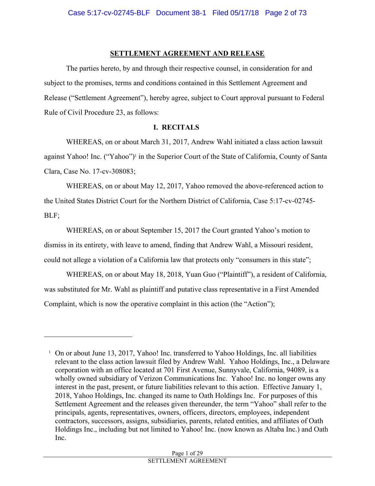#### **SETTLEMENT AGREEMENT AND RELEASE**

The parties hereto, by and through their respective counsel, in consideration for and subject to the promises, terms and conditions contained in this Settlement Agreement and Release ("Settlement Agreement"), hereby agree, subject to Court approval pursuant to Federal Rule of Civil Procedure 23, as follows:

#### **I. RECITALS**

WHEREAS, on or about March 31, 2017, Andrew Wahl initiated a class action lawsuit against Yahoo! Inc. ("Yahoo")<sup>1</sup> in the Superior Court of the State of California, County of Santa Clara, Case No. 17-cv-308083;

WHEREAS, on or about May 12, 2017, Yahoo removed the above-referenced action to the United States District Court for the Northern District of California, Case 5:17-cv-02745- BLF;

WHEREAS, on or about September 15, 2017 the Court granted Yahoo's motion to dismiss in its entirety, with leave to amend, finding that Andrew Wahl, a Missouri resident, could not allege a violation of a California law that protects only "consumers in this state";

WHEREAS, on or about May 18, 2018, Yuan Guo ("Plaintiff"), a resident of California, was substituted for Mr. Wahl as plaintiff and putative class representative in a First Amended Complaint, which is now the operative complaint in this action (the "Action");

 $\overline{a}$ 

<sup>&</sup>lt;sup>1</sup> On or about June 13, 2017, Yahoo! Inc. transferred to Yahoo Holdings, Inc. all liabilities relevant to the class action lawsuit filed by Andrew Wahl. Yahoo Holdings, Inc., a Delaware corporation with an office located at 701 First Avenue, Sunnyvale, California, 94089, is a wholly owned subsidiary of Verizon Communications Inc. Yahoo! Inc. no longer owns any interest in the past, present, or future liabilities relevant to this action. Effective January 1, 2018, Yahoo Holdings, Inc. changed its name to Oath Holdings Inc. For purposes of this Settlement Agreement and the releases given thereunder, the term "Yahoo" shall refer to the principals, agents, representatives, owners, officers, directors, employees, independent contractors, successors, assigns, subsidiaries, parents, related entities, and affiliates of Oath Holdings Inc., including but not limited to Yahoo! Inc. (now known as Altaba Inc.) and Oath Inc.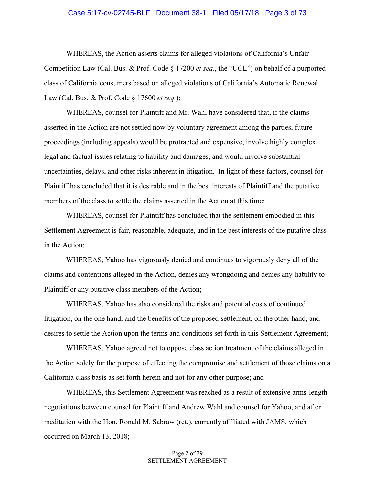#### Case 5:17-cv-02745-BLF Document 38-1 Filed 05/17/18 Page 3 of 73

WHEREAS, the Action asserts claims for alleged violations of California's Unfair Competition Law (Cal. Bus. & Prof. Code § 17200 *et seq*., the "UCL") on behalf of a purported class of California consumers based on alleged violations of California's Automatic Renewal Law (Cal. Bus. & Prof. Code § 17600 *et seq.*);

WHEREAS, counsel for Plaintiff and Mr. Wahl have considered that, if the claims asserted in the Action are not settled now by voluntary agreement among the parties, future proceedings (including appeals) would be protracted and expensive, involve highly complex legal and factual issues relating to liability and damages, and would involve substantial uncertainties, delays, and other risks inherent in litigation. In light of these factors, counsel for Plaintiff has concluded that it is desirable and in the best interests of Plaintiff and the putative members of the class to settle the claims asserted in the Action at this time;

WHEREAS, counsel for Plaintiff has concluded that the settlement embodied in this Settlement Agreement is fair, reasonable, adequate, and in the best interests of the putative class in the Action;

WHEREAS, Yahoo has vigorously denied and continues to vigorously deny all of the claims and contentions alleged in the Action, denies any wrongdoing and denies any liability to Plaintiff or any putative class members of the Action;

WHEREAS, Yahoo has also considered the risks and potential costs of continued litigation, on the one hand, and the benefits of the proposed settlement, on the other hand, and desires to settle the Action upon the terms and conditions set forth in this Settlement Agreement;

WHEREAS, Yahoo agreed not to oppose class action treatment of the claims alleged in the Action solely for the purpose of effecting the compromise and settlement of those claims on a California class basis as set forth herein and not for any other purpose; and

WHEREAS, this Settlement Agreement was reached as a result of extensive arms-length negotiations between counsel for Plaintiff and Andrew Wahl and counsel for Yahoo, and after meditation with the Hon. Ronald M. Sabraw (ret.), currently affiliated with JAMS, which occurred on March 13, 2018;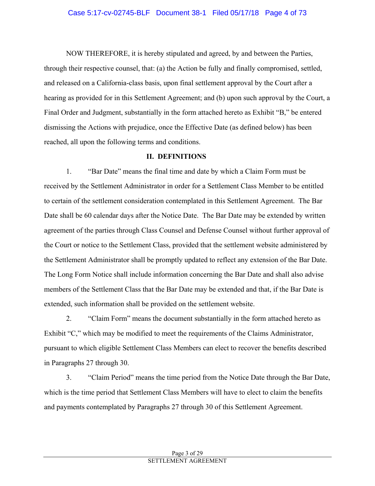#### Case 5:17-cv-02745-BLF Document 38-1 Filed 05/17/18 Page 4 of 73

NOW THEREFORE, it is hereby stipulated and agreed, by and between the Parties, through their respective counsel, that: (a) the Action be fully and finally compromised, settled, and released on a California-class basis, upon final settlement approval by the Court after a hearing as provided for in this Settlement Agreement; and (b) upon such approval by the Court, a Final Order and Judgment, substantially in the form attached hereto as Exhibit "B," be entered dismissing the Actions with prejudice, once the Effective Date (as defined below) has been reached, all upon the following terms and conditions.

#### **II. DEFINITIONS**

1. "Bar Date" means the final time and date by which a Claim Form must be received by the Settlement Administrator in order for a Settlement Class Member to be entitled to certain of the settlement consideration contemplated in this Settlement Agreement. The Bar Date shall be 60 calendar days after the Notice Date. The Bar Date may be extended by written agreement of the parties through Class Counsel and Defense Counsel without further approval of the Court or notice to the Settlement Class, provided that the settlement website administered by the Settlement Administrator shall be promptly updated to reflect any extension of the Bar Date. The Long Form Notice shall include information concerning the Bar Date and shall also advise members of the Settlement Class that the Bar Date may be extended and that, if the Bar Date is extended, such information shall be provided on the settlement website.

2. "Claim Form" means the document substantially in the form attached hereto as Exhibit "C," which may be modified to meet the requirements of the Claims Administrator, pursuant to which eligible Settlement Class Members can elect to recover the benefits described in Paragraphs 27 through 30.

3. "Claim Period" means the time period from the Notice Date through the Bar Date, which is the time period that Settlement Class Members will have to elect to claim the benefits and payments contemplated by Paragraphs 27 through 30 of this Settlement Agreement.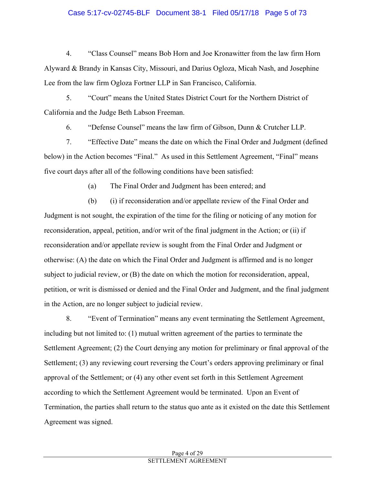#### Case 5:17-cv-02745-BLF Document 38-1 Filed 05/17/18 Page 5 of 73

4. "Class Counsel" means Bob Horn and Joe Kronawitter from the law firm Horn Alyward & Brandy in Kansas City, Missouri, and Darius Ogloza, Micah Nash, and Josephine Lee from the law firm Ogloza Fortner LLP in San Francisco, California.

5. "Court" means the United States District Court for the Northern District of California and the Judge Beth Labson Freeman.

6. "Defense Counsel" means the law firm of Gibson, Dunn & Crutcher LLP.

7. "Effective Date" means the date on which the Final Order and Judgment (defined below) in the Action becomes "Final." As used in this Settlement Agreement, "Final" means five court days after all of the following conditions have been satisfied:

(a) The Final Order and Judgment has been entered; and

(b) (i) if reconsideration and/or appellate review of the Final Order and Judgment is not sought, the expiration of the time for the filing or noticing of any motion for reconsideration, appeal, petition, and/or writ of the final judgment in the Action; or (ii) if reconsideration and/or appellate review is sought from the Final Order and Judgment or otherwise: (A) the date on which the Final Order and Judgment is affirmed and is no longer subject to judicial review, or (B) the date on which the motion for reconsideration, appeal, petition, or writ is dismissed or denied and the Final Order and Judgment, and the final judgment in the Action, are no longer subject to judicial review.

8. "Event of Termination" means any event terminating the Settlement Agreement, including but not limited to: (1) mutual written agreement of the parties to terminate the Settlement Agreement; (2) the Court denying any motion for preliminary or final approval of the Settlement; (3) any reviewing court reversing the Court's orders approving preliminary or final approval of the Settlement; or (4) any other event set forth in this Settlement Agreement according to which the Settlement Agreement would be terminated. Upon an Event of Termination, the parties shall return to the status quo ante as it existed on the date this Settlement Agreement was signed.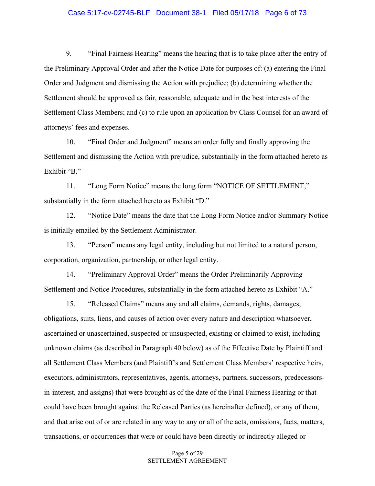#### Case 5:17-cv-02745-BLF Document 38-1 Filed 05/17/18 Page 6 of 73

9. "Final Fairness Hearing" means the hearing that is to take place after the entry of the Preliminary Approval Order and after the Notice Date for purposes of: (a) entering the Final Order and Judgment and dismissing the Action with prejudice; (b) determining whether the Settlement should be approved as fair, reasonable, adequate and in the best interests of the Settlement Class Members; and (c) to rule upon an application by Class Counsel for an award of attorneys' fees and expenses.

10. "Final Order and Judgment" means an order fully and finally approving the Settlement and dismissing the Action with prejudice, substantially in the form attached hereto as Exhibit "B."

11. "Long Form Notice" means the long form "NOTICE OF SETTLEMENT," substantially in the form attached hereto as Exhibit "D."

12. "Notice Date" means the date that the Long Form Notice and/or Summary Notice is initially emailed by the Settlement Administrator.

13. "Person" means any legal entity, including but not limited to a natural person, corporation, organization, partnership, or other legal entity.

14. "Preliminary Approval Order" means the Order Preliminarily Approving Settlement and Notice Procedures, substantially in the form attached hereto as Exhibit "A."

15. "Released Claims" means any and all claims, demands, rights, damages, obligations, suits, liens, and causes of action over every nature and description whatsoever, ascertained or unascertained, suspected or unsuspected, existing or claimed to exist, including unknown claims (as described in Paragraph 40 below) as of the Effective Date by Plaintiff and all Settlement Class Members (and Plaintiff's and Settlement Class Members' respective heirs, executors, administrators, representatives, agents, attorneys, partners, successors, predecessorsin-interest, and assigns) that were brought as of the date of the Final Fairness Hearing or that could have been brought against the Released Parties (as hereinafter defined), or any of them, and that arise out of or are related in any way to any or all of the acts, omissions, facts, matters, transactions, or occurrences that were or could have been directly or indirectly alleged or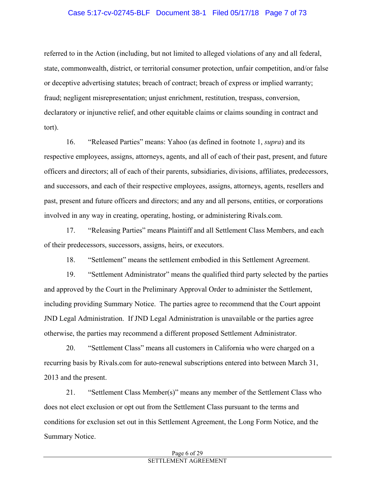#### Case 5:17-cv-02745-BLF Document 38-1 Filed 05/17/18 Page 7 of 73

referred to in the Action (including, but not limited to alleged violations of any and all federal, state, commonwealth, district, or territorial consumer protection, unfair competition, and/or false or deceptive advertising statutes; breach of contract; breach of express or implied warranty; fraud; negligent misrepresentation; unjust enrichment, restitution, trespass, conversion, declaratory or injunctive relief, and other equitable claims or claims sounding in contract and tort).

16. "Released Parties" means: Yahoo (as defined in footnote 1, *supra*) and its respective employees, assigns, attorneys, agents, and all of each of their past, present, and future officers and directors; all of each of their parents, subsidiaries, divisions, affiliates, predecessors, and successors, and each of their respective employees, assigns, attorneys, agents, resellers and past, present and future officers and directors; and any and all persons, entities, or corporations involved in any way in creating, operating, hosting, or administering Rivals.com.

17. "Releasing Parties" means Plaintiff and all Settlement Class Members, and each of their predecessors, successors, assigns, heirs, or executors.

18. "Settlement" means the settlement embodied in this Settlement Agreement.

19. "Settlement Administrator" means the qualified third party selected by the parties and approved by the Court in the Preliminary Approval Order to administer the Settlement, including providing Summary Notice. The parties agree to recommend that the Court appoint JND Legal Administration. If JND Legal Administration is unavailable or the parties agree otherwise, the parties may recommend a different proposed Settlement Administrator.

20. "Settlement Class" means all customers in California who were charged on a recurring basis by Rivals.com for auto-renewal subscriptions entered into between March 31, 2013 and the present.

21. "Settlement Class Member(s)" means any member of the Settlement Class who does not elect exclusion or opt out from the Settlement Class pursuant to the terms and conditions for exclusion set out in this Settlement Agreement, the Long Form Notice, and the Summary Notice.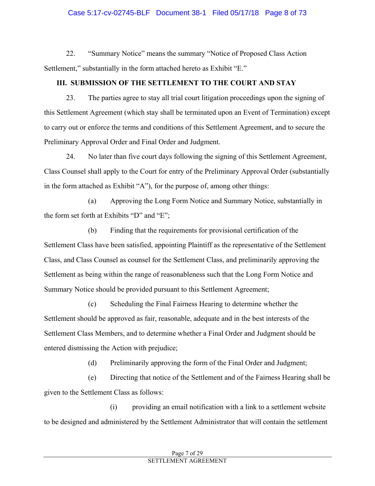## Case 5:17-cv-02745-BLF Document 38-1 Filed 05/17/18 Page 8 of 73

22. "Summary Notice" means the summary "Notice of Proposed Class Action Settlement," substantially in the form attached hereto as Exhibit "E."

## **III. SUBMISSION OF THE SETTLEMENT TO THE COURT AND STAY**

23. The parties agree to stay all trial court litigation proceedings upon the signing of this Settlement Agreement (which stay shall be terminated upon an Event of Termination) except to carry out or enforce the terms and conditions of this Settlement Agreement, and to secure the Preliminary Approval Order and Final Order and Judgment.

24. No later than five court days following the signing of this Settlement Agreement, Class Counsel shall apply to the Court for entry of the Preliminary Approval Order (substantially in the form attached as Exhibit "A"), for the purpose of, among other things:

(a) Approving the Long Form Notice and Summary Notice, substantially in the form set forth at Exhibits "D" and "E";

(b) Finding that the requirements for provisional certification of the Settlement Class have been satisfied, appointing Plaintiff as the representative of the Settlement Class, and Class Counsel as counsel for the Settlement Class, and preliminarily approving the Settlement as being within the range of reasonableness such that the Long Form Notice and Summary Notice should be provided pursuant to this Settlement Agreement;

(c) Scheduling the Final Fairness Hearing to determine whether the Settlement should be approved as fair, reasonable, adequate and in the best interests of the Settlement Class Members, and to determine whether a Final Order and Judgment should be entered dismissing the Action with prejudice;

(d) Preliminarily approving the form of the Final Order and Judgment;

(e) Directing that notice of the Settlement and of the Fairness Hearing shall be given to the Settlement Class as follows:

(i) providing an email notification with a link to a settlement website to be designed and administered by the Settlement Administrator that will contain the settlement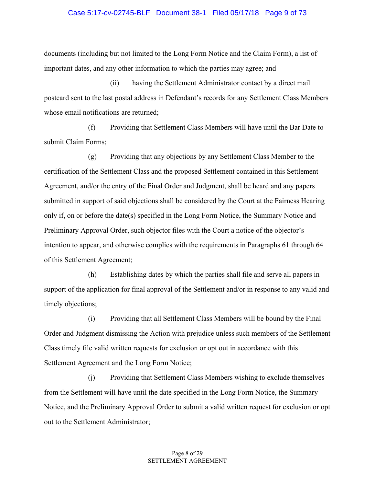#### Case 5:17-cv-02745-BLF Document 38-1 Filed 05/17/18 Page 9 of 73

documents (including but not limited to the Long Form Notice and the Claim Form), a list of important dates, and any other information to which the parties may agree; and

(ii) having the Settlement Administrator contact by a direct mail postcard sent to the last postal address in Defendant's records for any Settlement Class Members whose email notifications are returned;

(f) Providing that Settlement Class Members will have until the Bar Date to submit Claim Forms;

(g) Providing that any objections by any Settlement Class Member to the certification of the Settlement Class and the proposed Settlement contained in this Settlement Agreement, and/or the entry of the Final Order and Judgment, shall be heard and any papers submitted in support of said objections shall be considered by the Court at the Fairness Hearing only if, on or before the date(s) specified in the Long Form Notice, the Summary Notice and Preliminary Approval Order, such objector files with the Court a notice of the objector's intention to appear, and otherwise complies with the requirements in Paragraphs 61 through 64 of this Settlement Agreement;

(h) Establishing dates by which the parties shall file and serve all papers in support of the application for final approval of the Settlement and/or in response to any valid and timely objections;

(i) Providing that all Settlement Class Members will be bound by the Final Order and Judgment dismissing the Action with prejudice unless such members of the Settlement Class timely file valid written requests for exclusion or opt out in accordance with this Settlement Agreement and the Long Form Notice;

(j) Providing that Settlement Class Members wishing to exclude themselves from the Settlement will have until the date specified in the Long Form Notice, the Summary Notice, and the Preliminary Approval Order to submit a valid written request for exclusion or opt out to the Settlement Administrator;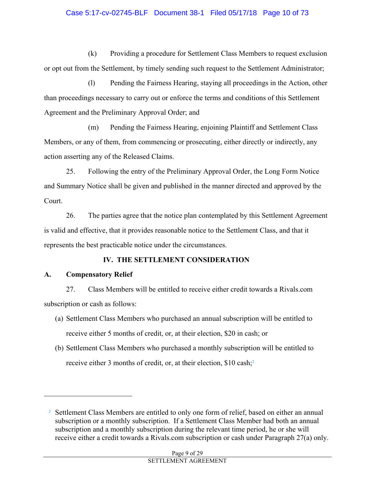## Case 5:17-cv-02745-BLF Document 38-1 Filed 05/17/18 Page 10 of 73

(k) Providing a procedure for Settlement Class Members to request exclusion or opt out from the Settlement, by timely sending such request to the Settlement Administrator;

(l) Pending the Fairness Hearing, staying all proceedings in the Action, other than proceedings necessary to carry out or enforce the terms and conditions of this Settlement Agreement and the Preliminary Approval Order; and

(m) Pending the Fairness Hearing, enjoining Plaintiff and Settlement Class Members, or any of them, from commencing or prosecuting, either directly or indirectly, any action asserting any of the Released Claims.

25. Following the entry of the Preliminary Approval Order, the Long Form Notice and Summary Notice shall be given and published in the manner directed and approved by the Court.

26. The parties agree that the notice plan contemplated by this Settlement Agreement is valid and effective, that it provides reasonable notice to the Settlement Class, and that it represents the best practicable notice under the circumstances.

## **IV. THE SETTLEMENT CONSIDERATION**

## **A. Compensatory Relief**

 $\overline{a}$ 

27. Class Members will be entitled to receive either credit towards a Rivals.com subscription or cash as follows:

- (a) Settlement Class Members who purchased an annual subscription will be entitled to receive either 5 months of credit, or, at their election, \$20 in cash; or
- (b) Settlement Class Members who purchased a monthly subscription will be entitled to receive either 3 months of credit, or, at their election, \$10 cash;2

<sup>&</sup>lt;sup>2</sup> Settlement Class Members are entitled to only one form of relief, based on either an annual subscription or a monthly subscription. If a Settlement Class Member had both an annual subscription and a monthly subscription during the relevant time period, he or she will receive either a credit towards a Rivals.com subscription or cash under Paragraph 27(a) only.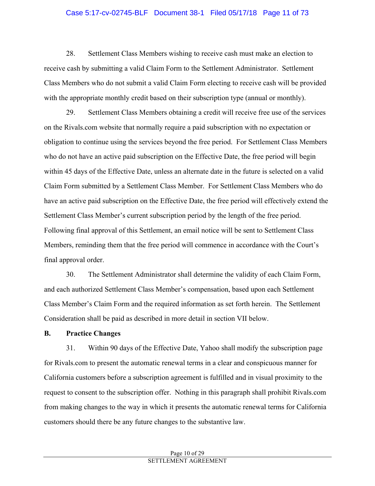#### Case 5:17-cv-02745-BLF Document 38-1 Filed 05/17/18 Page 11 of 73

28. Settlement Class Members wishing to receive cash must make an election to receive cash by submitting a valid Claim Form to the Settlement Administrator. Settlement Class Members who do not submit a valid Claim Form electing to receive cash will be provided with the appropriate monthly credit based on their subscription type (annual or monthly).

29. Settlement Class Members obtaining a credit will receive free use of the services on the Rivals.com website that normally require a paid subscription with no expectation or obligation to continue using the services beyond the free period. For Settlement Class Members who do not have an active paid subscription on the Effective Date, the free period will begin within 45 days of the Effective Date, unless an alternate date in the future is selected on a valid Claim Form submitted by a Settlement Class Member. For Settlement Class Members who do have an active paid subscription on the Effective Date, the free period will effectively extend the Settlement Class Member's current subscription period by the length of the free period. Following final approval of this Settlement, an email notice will be sent to Settlement Class Members, reminding them that the free period will commence in accordance with the Court's final approval order.

30. The Settlement Administrator shall determine the validity of each Claim Form, and each authorized Settlement Class Member's compensation, based upon each Settlement Class Member's Claim Form and the required information as set forth herein. The Settlement Consideration shall be paid as described in more detail in section VII below.

#### **B. Practice Changes**

31. Within 90 days of the Effective Date, Yahoo shall modify the subscription page for Rivals.com to present the automatic renewal terms in a clear and conspicuous manner for California customers before a subscription agreement is fulfilled and in visual proximity to the request to consent to the subscription offer. Nothing in this paragraph shall prohibit Rivals.com from making changes to the way in which it presents the automatic renewal terms for California customers should there be any future changes to the substantive law.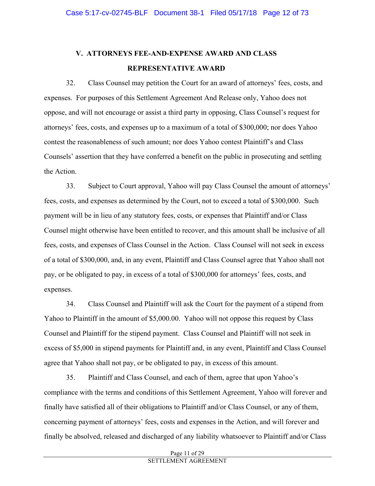# **V. ATTORNEYS FEE-AND-EXPENSE AWARD AND CLASS REPRESENTATIVE AWARD**

32. Class Counsel may petition the Court for an award of attorneys' fees, costs, and expenses. For purposes of this Settlement Agreement And Release only, Yahoo does not oppose, and will not encourage or assist a third party in opposing, Class Counsel's request for attorneys' fees, costs, and expenses up to a maximum of a total of \$300,000; nor does Yahoo contest the reasonableness of such amount; nor does Yahoo contest Plaintiff's and Class Counsels' assertion that they have conferred a benefit on the public in prosecuting and settling the Action.

33. Subject to Court approval, Yahoo will pay Class Counsel the amount of attorneys' fees, costs, and expenses as determined by the Court, not to exceed a total of \$300,000. Such payment will be in lieu of any statutory fees, costs, or expenses that Plaintiff and/or Class Counsel might otherwise have been entitled to recover, and this amount shall be inclusive of all fees, costs, and expenses of Class Counsel in the Action. Class Counsel will not seek in excess of a total of \$300,000, and, in any event, Plaintiff and Class Counsel agree that Yahoo shall not pay, or be obligated to pay, in excess of a total of \$300,000 for attorneys' fees, costs, and expenses.

34. Class Counsel and Plaintiff will ask the Court for the payment of a stipend from Yahoo to Plaintiff in the amount of \$5,000.00. Yahoo will not oppose this request by Class Counsel and Plaintiff for the stipend payment. Class Counsel and Plaintiff will not seek in excess of \$5,000 in stipend payments for Plaintiff and, in any event, Plaintiff and Class Counsel agree that Yahoo shall not pay, or be obligated to pay, in excess of this amount.

35. Plaintiff and Class Counsel, and each of them, agree that upon Yahoo's compliance with the terms and conditions of this Settlement Agreement, Yahoo will forever and finally have satisfied all of their obligations to Plaintiff and/or Class Counsel, or any of them, concerning payment of attorneys' fees, costs and expenses in the Action, and will forever and finally be absolved, released and discharged of any liability whatsoever to Plaintiff and/or Class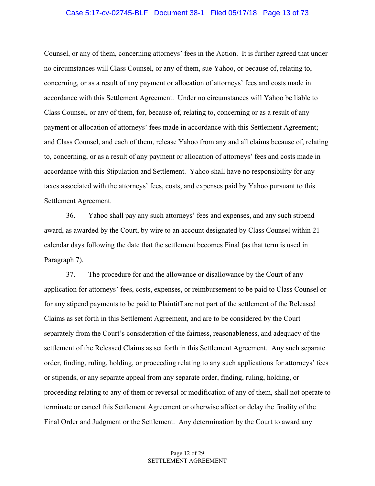### Case 5:17-cv-02745-BLF Document 38-1 Filed 05/17/18 Page 13 of 73

Counsel, or any of them, concerning attorneys' fees in the Action. It is further agreed that under no circumstances will Class Counsel, or any of them, sue Yahoo, or because of, relating to, concerning, or as a result of any payment or allocation of attorneys' fees and costs made in accordance with this Settlement Agreement. Under no circumstances will Yahoo be liable to Class Counsel, or any of them, for, because of, relating to, concerning or as a result of any payment or allocation of attorneys' fees made in accordance with this Settlement Agreement; and Class Counsel, and each of them, release Yahoo from any and all claims because of, relating to, concerning, or as a result of any payment or allocation of attorneys' fees and costs made in accordance with this Stipulation and Settlement. Yahoo shall have no responsibility for any taxes associated with the attorneys' fees, costs, and expenses paid by Yahoo pursuant to this Settlement Agreement.

36. Yahoo shall pay any such attorneys' fees and expenses, and any such stipend award, as awarded by the Court, by wire to an account designated by Class Counsel within 21 calendar days following the date that the settlement becomes Final (as that term is used in Paragraph 7).

37. The procedure for and the allowance or disallowance by the Court of any application for attorneys' fees, costs, expenses, or reimbursement to be paid to Class Counsel or for any stipend payments to be paid to Plaintiff are not part of the settlement of the Released Claims as set forth in this Settlement Agreement, and are to be considered by the Court separately from the Court's consideration of the fairness, reasonableness, and adequacy of the settlement of the Released Claims as set forth in this Settlement Agreement. Any such separate order, finding, ruling, holding, or proceeding relating to any such applications for attorneys' fees or stipends, or any separate appeal from any separate order, finding, ruling, holding, or proceeding relating to any of them or reversal or modification of any of them, shall not operate to terminate or cancel this Settlement Agreement or otherwise affect or delay the finality of the Final Order and Judgment or the Settlement. Any determination by the Court to award any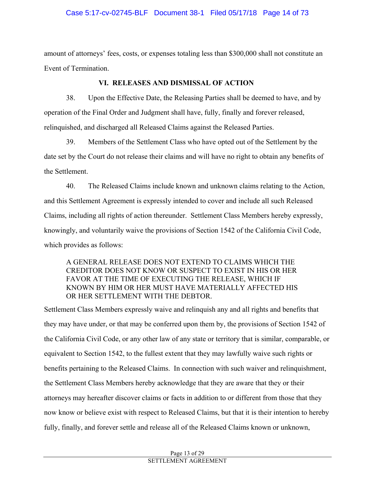## Case 5:17-cv-02745-BLF Document 38-1 Filed 05/17/18 Page 14 of 73

amount of attorneys' fees, costs, or expenses totaling less than \$300,000 shall not constitute an Event of Termination.

### **VI. RELEASES AND DISMISSAL OF ACTION**

38. Upon the Effective Date, the Releasing Parties shall be deemed to have, and by operation of the Final Order and Judgment shall have, fully, finally and forever released, relinquished, and discharged all Released Claims against the Released Parties.

39. Members of the Settlement Class who have opted out of the Settlement by the date set by the Court do not release their claims and will have no right to obtain any benefits of the Settlement.

40. The Released Claims include known and unknown claims relating to the Action, and this Settlement Agreement is expressly intended to cover and include all such Released Claims, including all rights of action thereunder. Settlement Class Members hereby expressly, knowingly, and voluntarily waive the provisions of Section 1542 of the California Civil Code, which provides as follows:

## A GENERAL RELEASE DOES NOT EXTEND TO CLAIMS WHICH THE CREDITOR DOES NOT KNOW OR SUSPECT TO EXIST IN HIS OR HER FAVOR AT THE TIME OF EXECUTING THE RELEASE, WHICH IF KNOWN BY HIM OR HER MUST HAVE MATERIALLY AFFECTED HIS OR HER SETTLEMENT WITH THE DEBTOR.

Settlement Class Members expressly waive and relinquish any and all rights and benefits that they may have under, or that may be conferred upon them by, the provisions of Section 1542 of the California Civil Code, or any other law of any state or territory that is similar, comparable, or equivalent to Section 1542, to the fullest extent that they may lawfully waive such rights or benefits pertaining to the Released Claims. In connection with such waiver and relinquishment, the Settlement Class Members hereby acknowledge that they are aware that they or their attorneys may hereafter discover claims or facts in addition to or different from those that they now know or believe exist with respect to Released Claims, but that it is their intention to hereby fully, finally, and forever settle and release all of the Released Claims known or unknown,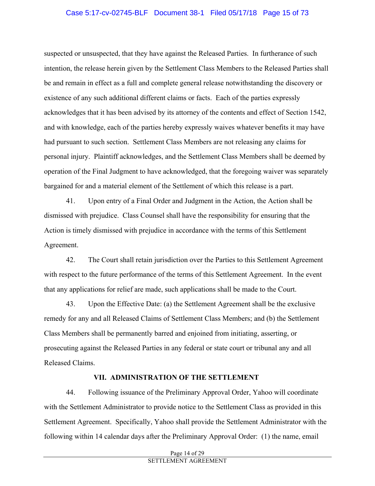## Case 5:17-cv-02745-BLF Document 38-1 Filed 05/17/18 Page 15 of 73

suspected or unsuspected, that they have against the Released Parties. In furtherance of such intention, the release herein given by the Settlement Class Members to the Released Parties shall be and remain in effect as a full and complete general release notwithstanding the discovery or existence of any such additional different claims or facts. Each of the parties expressly acknowledges that it has been advised by its attorney of the contents and effect of Section 1542, and with knowledge, each of the parties hereby expressly waives whatever benefits it may have had pursuant to such section. Settlement Class Members are not releasing any claims for personal injury. Plaintiff acknowledges, and the Settlement Class Members shall be deemed by operation of the Final Judgment to have acknowledged, that the foregoing waiver was separately bargained for and a material element of the Settlement of which this release is a part.

41. Upon entry of a Final Order and Judgment in the Action, the Action shall be dismissed with prejudice. Class Counsel shall have the responsibility for ensuring that the Action is timely dismissed with prejudice in accordance with the terms of this Settlement Agreement.

42. The Court shall retain jurisdiction over the Parties to this Settlement Agreement with respect to the future performance of the terms of this Settlement Agreement. In the event that any applications for relief are made, such applications shall be made to the Court.

43. Upon the Effective Date: (a) the Settlement Agreement shall be the exclusive remedy for any and all Released Claims of Settlement Class Members; and (b) the Settlement Class Members shall be permanently barred and enjoined from initiating, asserting, or prosecuting against the Released Parties in any federal or state court or tribunal any and all Released Claims.

#### **VII. ADMINISTRATION OF THE SETTLEMENT**

44. Following issuance of the Preliminary Approval Order, Yahoo will coordinate with the Settlement Administrator to provide notice to the Settlement Class as provided in this Settlement Agreement. Specifically, Yahoo shall provide the Settlement Administrator with the following within 14 calendar days after the Preliminary Approval Order: (1) the name, email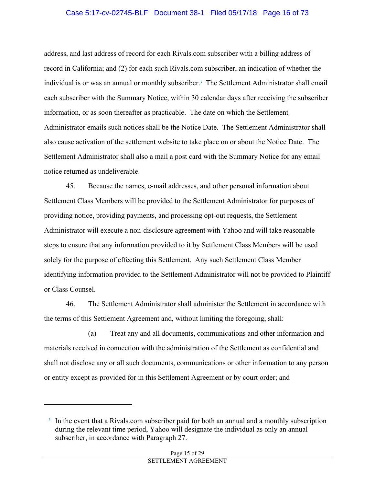#### Case 5:17-cv-02745-BLF Document 38-1 Filed 05/17/18 Page 16 of 73

address, and last address of record for each Rivals.com subscriber with a billing address of record in California; and (2) for each such Rivals.com subscriber, an indication of whether the individual is or was an annual or monthly subscriber.<sup>3</sup> The Settlement Administrator shall email each subscriber with the Summary Notice, within 30 calendar days after receiving the subscriber information, or as soon thereafter as practicable. The date on which the Settlement Administrator emails such notices shall be the Notice Date. The Settlement Administrator shall also cause activation of the settlement website to take place on or about the Notice Date. The Settlement Administrator shall also a mail a post card with the Summary Notice for any email notice returned as undeliverable.

45. Because the names, e-mail addresses, and other personal information about Settlement Class Members will be provided to the Settlement Administrator for purposes of providing notice, providing payments, and processing opt-out requests, the Settlement Administrator will execute a non-disclosure agreement with Yahoo and will take reasonable steps to ensure that any information provided to it by Settlement Class Members will be used solely for the purpose of effecting this Settlement. Any such Settlement Class Member identifying information provided to the Settlement Administrator will not be provided to Plaintiff or Class Counsel.

46. The Settlement Administrator shall administer the Settlement in accordance with the terms of this Settlement Agreement and, without limiting the foregoing, shall:

(a) Treat any and all documents, communications and other information and materials received in connection with the administration of the Settlement as confidential and shall not disclose any or all such documents, communications or other information to any person or entity except as provided for in this Settlement Agreement or by court order; and

 $\overline{a}$ 

<sup>3</sup> In the event that a Rivals.com subscriber paid for both an annual and a monthly subscription during the relevant time period, Yahoo will designate the individual as only an annual subscriber, in accordance with Paragraph 27.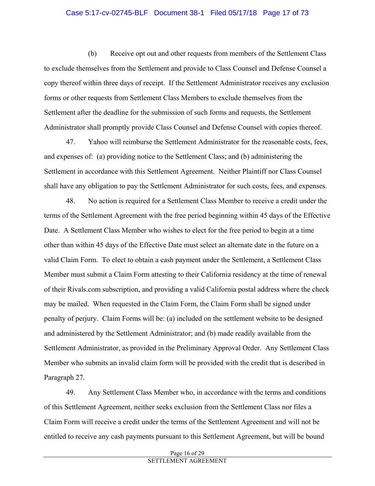## Case 5:17-cv-02745-BLF Document 38-1 Filed 05/17/18 Page 17 of 73

(b) Receive opt out and other requests from members of the Settlement Class to exclude themselves from the Settlement and provide to Class Counsel and Defense Counsel a copy thereof within three days of receipt. If the Settlement Administrator receives any exclusion forms or other requests from Settlement Class Members to exclude themselves from the Settlement after the deadline for the submission of such forms and requests, the Settlement Administrator shall promptly provide Class Counsel and Defense Counsel with copies thereof.

47. Yahoo will reimburse the Settlement Administrator for the reasonable costs, fees, and expenses of: (a) providing notice to the Settlement Class; and (b) administering the Settlement in accordance with this Settlement Agreement. Neither Plaintiff nor Class Counsel shall have any obligation to pay the Settlement Administrator for such costs, fees, and expenses.

48. No action is required for a Settlement Class Member to receive a credit under the terms of the Settlement Agreement with the free period beginning within 45 days of the Effective Date. A Settlement Class Member who wishes to elect for the free period to begin at a time other than within 45 days of the Effective Date must select an alternate date in the future on a valid Claim Form. To elect to obtain a cash payment under the Settlement, a Settlement Class Member must submit a Claim Form attesting to their California residency at the time of renewal of their Rivals.com subscription, and providing a valid California postal address where the check may be mailed. When requested in the Claim Form, the Claim Form shall be signed under penalty of perjury. Claim Forms will be: (a) included on the settlement website to be designed and administered by the Settlement Administrator; and (b) made readily available from the Settlement Administrator, as provided in the Preliminary Approval Order. Any Settlement Class Member who submits an invalid claim form will be provided with the credit that is described in Paragraph 27.

49. Any Settlement Class Member who, in accordance with the terms and conditions of this Settlement Agreement, neither seeks exclusion from the Settlement Class nor files a Claim Form will receive a credit under the terms of the Settlement Agreement and will not be entitled to receive any cash payments pursuant to this Settlement Agreement, but will be bound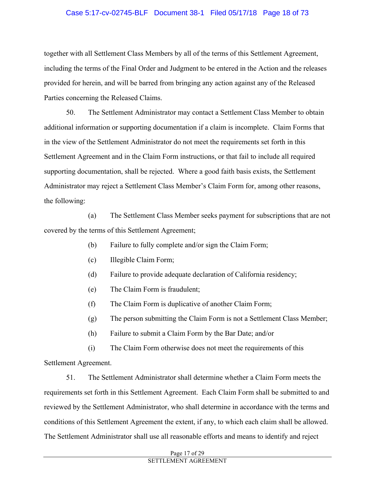#### Case 5:17-cv-02745-BLF Document 38-1 Filed 05/17/18 Page 18 of 73

together with all Settlement Class Members by all of the terms of this Settlement Agreement, including the terms of the Final Order and Judgment to be entered in the Action and the releases provided for herein, and will be barred from bringing any action against any of the Released Parties concerning the Released Claims.

50. The Settlement Administrator may contact a Settlement Class Member to obtain additional information or supporting documentation if a claim is incomplete. Claim Forms that in the view of the Settlement Administrator do not meet the requirements set forth in this Settlement Agreement and in the Claim Form instructions, or that fail to include all required supporting documentation, shall be rejected. Where a good faith basis exists, the Settlement Administrator may reject a Settlement Class Member's Claim Form for, among other reasons, the following:

(a) The Settlement Class Member seeks payment for subscriptions that are not covered by the terms of this Settlement Agreement;

- (b) Failure to fully complete and/or sign the Claim Form;
- (c) Illegible Claim Form;
- (d) Failure to provide adequate declaration of California residency;
- (e) The Claim Form is fraudulent;
- (f) The Claim Form is duplicative of another Claim Form;
- (g) The person submitting the Claim Form is not a Settlement Class Member;
- (h) Failure to submit a Claim Form by the Bar Date; and/or

(i) The Claim Form otherwise does not meet the requirements of this Settlement Agreement.

51. The Settlement Administrator shall determine whether a Claim Form meets the requirements set forth in this Settlement Agreement. Each Claim Form shall be submitted to and reviewed by the Settlement Administrator, who shall determine in accordance with the terms and conditions of this Settlement Agreement the extent, if any, to which each claim shall be allowed. The Settlement Administrator shall use all reasonable efforts and means to identify and reject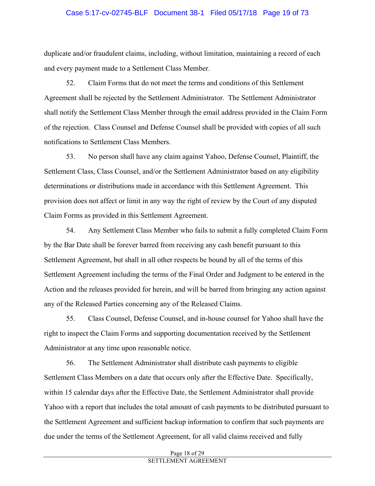## Case 5:17-cv-02745-BLF Document 38-1 Filed 05/17/18 Page 19 of 73

duplicate and/or fraudulent claims, including, without limitation, maintaining a record of each and every payment made to a Settlement Class Member.

52. Claim Forms that do not meet the terms and conditions of this Settlement Agreement shall be rejected by the Settlement Administrator. The Settlement Administrator shall notify the Settlement Class Member through the email address provided in the Claim Form of the rejection. Class Counsel and Defense Counsel shall be provided with copies of all such notifications to Settlement Class Members.

53. No person shall have any claim against Yahoo, Defense Counsel, Plaintiff, the Settlement Class, Class Counsel, and/or the Settlement Administrator based on any eligibility determinations or distributions made in accordance with this Settlement Agreement. This provision does not affect or limit in any way the right of review by the Court of any disputed Claim Forms as provided in this Settlement Agreement.

54. Any Settlement Class Member who fails to submit a fully completed Claim Form by the Bar Date shall be forever barred from receiving any cash benefit pursuant to this Settlement Agreement, but shall in all other respects be bound by all of the terms of this Settlement Agreement including the terms of the Final Order and Judgment to be entered in the Action and the releases provided for herein, and will be barred from bringing any action against any of the Released Parties concerning any of the Released Claims.

55. Class Counsel, Defense Counsel, and in-house counsel for Yahoo shall have the right to inspect the Claim Forms and supporting documentation received by the Settlement Administrator at any time upon reasonable notice.

56. The Settlement Administrator shall distribute cash payments to eligible Settlement Class Members on a date that occurs only after the Effective Date. Specifically, within 15 calendar days after the Effective Date, the Settlement Administrator shall provide Yahoo with a report that includes the total amount of cash payments to be distributed pursuant to the Settlement Agreement and sufficient backup information to confirm that such payments are due under the terms of the Settlement Agreement, for all valid claims received and fully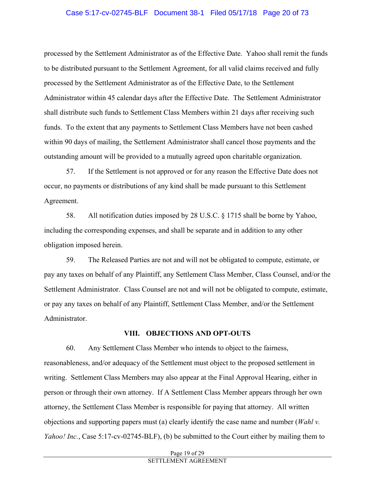## Case 5:17-cv-02745-BLF Document 38-1 Filed 05/17/18 Page 20 of 73

processed by the Settlement Administrator as of the Effective Date. Yahoo shall remit the funds to be distributed pursuant to the Settlement Agreement, for all valid claims received and fully processed by the Settlement Administrator as of the Effective Date, to the Settlement Administrator within 45 calendar days after the Effective Date. The Settlement Administrator shall distribute such funds to Settlement Class Members within 21 days after receiving such funds. To the extent that any payments to Settlement Class Members have not been cashed within 90 days of mailing, the Settlement Administrator shall cancel those payments and the outstanding amount will be provided to a mutually agreed upon charitable organization.

57. If the Settlement is not approved or for any reason the Effective Date does not occur, no payments or distributions of any kind shall be made pursuant to this Settlement Agreement.

58. All notification duties imposed by 28 U.S.C. § 1715 shall be borne by Yahoo, including the corresponding expenses, and shall be separate and in addition to any other obligation imposed herein.

59. The Released Parties are not and will not be obligated to compute, estimate, or pay any taxes on behalf of any Plaintiff, any Settlement Class Member, Class Counsel, and/or the Settlement Administrator. Class Counsel are not and will not be obligated to compute, estimate, or pay any taxes on behalf of any Plaintiff, Settlement Class Member, and/or the Settlement Administrator.

#### **VIII. OBJECTIONS AND OPT-OUTS**

60. Any Settlement Class Member who intends to object to the fairness, reasonableness, and/or adequacy of the Settlement must object to the proposed settlement in writing. Settlement Class Members may also appear at the Final Approval Hearing, either in person or through their own attorney. If A Settlement Class Member appears through her own attorney, the Settlement Class Member is responsible for paying that attorney. All written objections and supporting papers must (a) clearly identify the case name and number (*Wahl v. Yahoo! Inc.*, Case 5:17-cv-02745-BLF), (b) be submitted to the Court either by mailing them to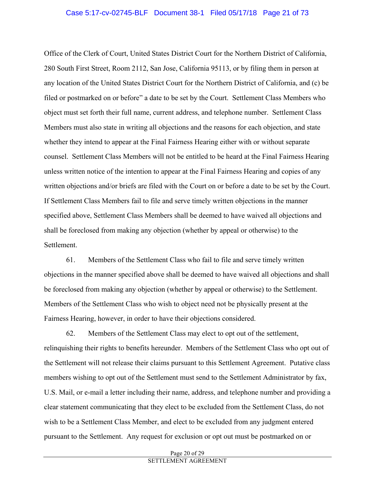Office of the Clerk of Court, United States District Court for the Northern District of California, 280 South First Street, Room 2112, San Jose, California 95113, or by filing them in person at any location of the United States District Court for the Northern District of California, and (c) be filed or postmarked on or before" a date to be set by the Court. Settlement Class Members who object must set forth their full name, current address, and telephone number. Settlement Class Members must also state in writing all objections and the reasons for each objection, and state whether they intend to appear at the Final Fairness Hearing either with or without separate counsel. Settlement Class Members will not be entitled to be heard at the Final Fairness Hearing unless written notice of the intention to appear at the Final Fairness Hearing and copies of any written objections and/or briefs are filed with the Court on or before a date to be set by the Court. If Settlement Class Members fail to file and serve timely written objections in the manner specified above, Settlement Class Members shall be deemed to have waived all objections and shall be foreclosed from making any objection (whether by appeal or otherwise) to the Settlement.

61. Members of the Settlement Class who fail to file and serve timely written objections in the manner specified above shall be deemed to have waived all objections and shall be foreclosed from making any objection (whether by appeal or otherwise) to the Settlement. Members of the Settlement Class who wish to object need not be physically present at the Fairness Hearing, however, in order to have their objections considered.

62. Members of the Settlement Class may elect to opt out of the settlement, relinquishing their rights to benefits hereunder. Members of the Settlement Class who opt out of the Settlement will not release their claims pursuant to this Settlement Agreement. Putative class members wishing to opt out of the Settlement must send to the Settlement Administrator by fax, U.S. Mail, or e-mail a letter including their name, address, and telephone number and providing a clear statement communicating that they elect to be excluded from the Settlement Class, do not wish to be a Settlement Class Member, and elect to be excluded from any judgment entered pursuant to the Settlement. Any request for exclusion or opt out must be postmarked on or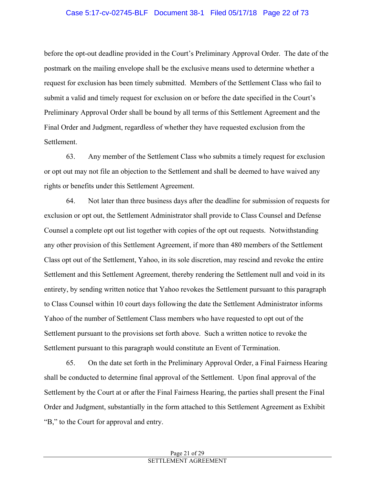before the opt-out deadline provided in the Court's Preliminary Approval Order. The date of the postmark on the mailing envelope shall be the exclusive means used to determine whether a request for exclusion has been timely submitted. Members of the Settlement Class who fail to submit a valid and timely request for exclusion on or before the date specified in the Court's Preliminary Approval Order shall be bound by all terms of this Settlement Agreement and the Final Order and Judgment, regardless of whether they have requested exclusion from the Settlement.

63. Any member of the Settlement Class who submits a timely request for exclusion or opt out may not file an objection to the Settlement and shall be deemed to have waived any rights or benefits under this Settlement Agreement.

64. Not later than three business days after the deadline for submission of requests for exclusion or opt out, the Settlement Administrator shall provide to Class Counsel and Defense Counsel a complete opt out list together with copies of the opt out requests. Notwithstanding any other provision of this Settlement Agreement, if more than 480 members of the Settlement Class opt out of the Settlement, Yahoo, in its sole discretion, may rescind and revoke the entire Settlement and this Settlement Agreement, thereby rendering the Settlement null and void in its entirety, by sending written notice that Yahoo revokes the Settlement pursuant to this paragraph to Class Counsel within 10 court days following the date the Settlement Administrator informs Yahoo of the number of Settlement Class members who have requested to opt out of the Settlement pursuant to the provisions set forth above. Such a written notice to revoke the Settlement pursuant to this paragraph would constitute an Event of Termination.

65. On the date set forth in the Preliminary Approval Order, a Final Fairness Hearing shall be conducted to determine final approval of the Settlement. Upon final approval of the Settlement by the Court at or after the Final Fairness Hearing, the parties shall present the Final Order and Judgment, substantially in the form attached to this Settlement Agreement as Exhibit "B," to the Court for approval and entry.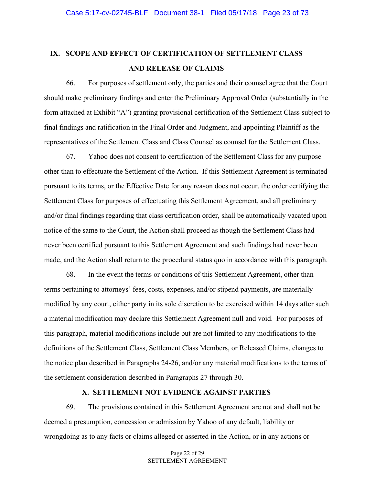# **IX. SCOPE AND EFFECT OF CERTIFICATION OF SETTLEMENT CLASS AND RELEASE OF CLAIMS**

66. For purposes of settlement only, the parties and their counsel agree that the Court should make preliminary findings and enter the Preliminary Approval Order (substantially in the form attached at Exhibit "A") granting provisional certification of the Settlement Class subject to final findings and ratification in the Final Order and Judgment, and appointing Plaintiff as the representatives of the Settlement Class and Class Counsel as counsel for the Settlement Class.

67. Yahoo does not consent to certification of the Settlement Class for any purpose other than to effectuate the Settlement of the Action. If this Settlement Agreement is terminated pursuant to its terms, or the Effective Date for any reason does not occur, the order certifying the Settlement Class for purposes of effectuating this Settlement Agreement, and all preliminary and/or final findings regarding that class certification order, shall be automatically vacated upon notice of the same to the Court, the Action shall proceed as though the Settlement Class had never been certified pursuant to this Settlement Agreement and such findings had never been made, and the Action shall return to the procedural status quo in accordance with this paragraph.

68. In the event the terms or conditions of this Settlement Agreement, other than terms pertaining to attorneys' fees, costs, expenses, and/or stipend payments, are materially modified by any court, either party in its sole discretion to be exercised within 14 days after such a material modification may declare this Settlement Agreement null and void. For purposes of this paragraph, material modifications include but are not limited to any modifications to the definitions of the Settlement Class, Settlement Class Members, or Released Claims, changes to the notice plan described in Paragraphs 24-26, and/or any material modifications to the terms of the settlement consideration described in Paragraphs 27 through 30.

## **X. SETTLEMENT NOT EVIDENCE AGAINST PARTIES**

69. The provisions contained in this Settlement Agreement are not and shall not be deemed a presumption, concession or admission by Yahoo of any default, liability or wrongdoing as to any facts or claims alleged or asserted in the Action, or in any actions or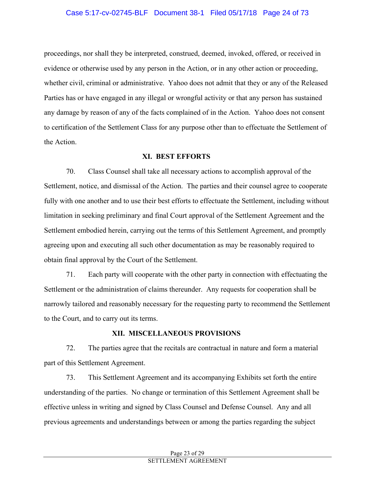## Case 5:17-cv-02745-BLF Document 38-1 Filed 05/17/18 Page 24 of 73

proceedings, nor shall they be interpreted, construed, deemed, invoked, offered, or received in evidence or otherwise used by any person in the Action, or in any other action or proceeding, whether civil, criminal or administrative. Yahoo does not admit that they or any of the Released Parties has or have engaged in any illegal or wrongful activity or that any person has sustained any damage by reason of any of the facts complained of in the Action. Yahoo does not consent to certification of the Settlement Class for any purpose other than to effectuate the Settlement of the Action.

#### **XI. BEST EFFORTS**

70. Class Counsel shall take all necessary actions to accomplish approval of the Settlement, notice, and dismissal of the Action. The parties and their counsel agree to cooperate fully with one another and to use their best efforts to effectuate the Settlement, including without limitation in seeking preliminary and final Court approval of the Settlement Agreement and the Settlement embodied herein, carrying out the terms of this Settlement Agreement, and promptly agreeing upon and executing all such other documentation as may be reasonably required to obtain final approval by the Court of the Settlement.

71. Each party will cooperate with the other party in connection with effectuating the Settlement or the administration of claims thereunder. Any requests for cooperation shall be narrowly tailored and reasonably necessary for the requesting party to recommend the Settlement to the Court, and to carry out its terms.

#### **XII.****MISCELLANEOUS PROVISIONS**

72. The parties agree that the recitals are contractual in nature and form a material part of this Settlement Agreement.

73. This Settlement Agreement and its accompanying Exhibits set forth the entire understanding of the parties. No change or termination of this Settlement Agreement shall be effective unless in writing and signed by Class Counsel and Defense Counsel. Any and all previous agreements and understandings between or among the parties regarding the subject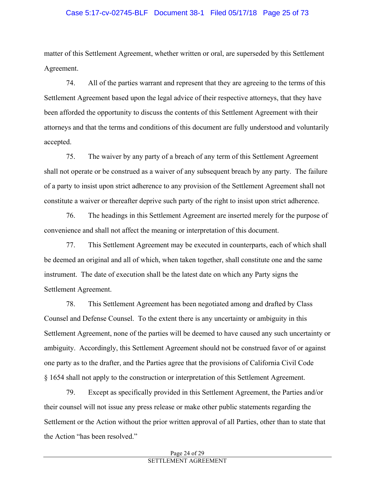## Case 5:17-cv-02745-BLF Document 38-1 Filed 05/17/18 Page 25 of 73

matter of this Settlement Agreement, whether written or oral, are superseded by this Settlement Agreement.

74. All of the parties warrant and represent that they are agreeing to the terms of this Settlement Agreement based upon the legal advice of their respective attorneys, that they have been afforded the opportunity to discuss the contents of this Settlement Agreement with their attorneys and that the terms and conditions of this document are fully understood and voluntarily accepted.

75. The waiver by any party of a breach of any term of this Settlement Agreement shall not operate or be construed as a waiver of any subsequent breach by any party. The failure of a party to insist upon strict adherence to any provision of the Settlement Agreement shall not constitute a waiver or thereafter deprive such party of the right to insist upon strict adherence.

76. The headings in this Settlement Agreement are inserted merely for the purpose of convenience and shall not affect the meaning or interpretation of this document.

77. This Settlement Agreement may be executed in counterparts, each of which shall be deemed an original and all of which, when taken together, shall constitute one and the same instrument. The date of execution shall be the latest date on which any Party signs the Settlement Agreement.

78. This Settlement Agreement has been negotiated among and drafted by Class Counsel and Defense Counsel. To the extent there is any uncertainty or ambiguity in this Settlement Agreement, none of the parties will be deemed to have caused any such uncertainty or ambiguity. Accordingly, this Settlement Agreement should not be construed favor of or against one party as to the drafter, and the Parties agree that the provisions of California Civil Code § 1654 shall not apply to the construction or interpretation of this Settlement Agreement.

79. Except as specifically provided in this Settlement Agreement, the Parties and/or their counsel will not issue any press release or make other public statements regarding the Settlement or the Action without the prior written approval of all Parties, other than to state that the Action "has been resolved."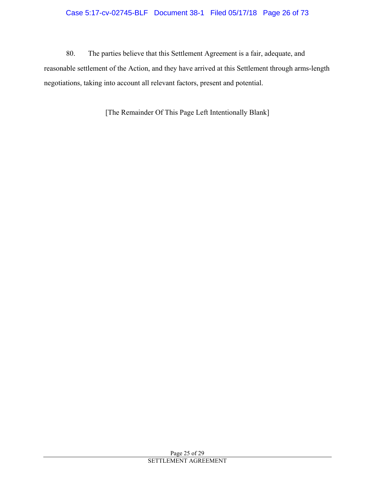## Case 5:17-cv-02745-BLF Document 38-1 Filed 05/17/18 Page 26 of 73

80. The parties believe that this Settlement Agreement is a fair, adequate, and reasonable settlement of the Action, and they have arrived at this Settlement through arms-length negotiations, taking into account all relevant factors, present and potential.

[The Remainder Of This Page Left Intentionally Blank]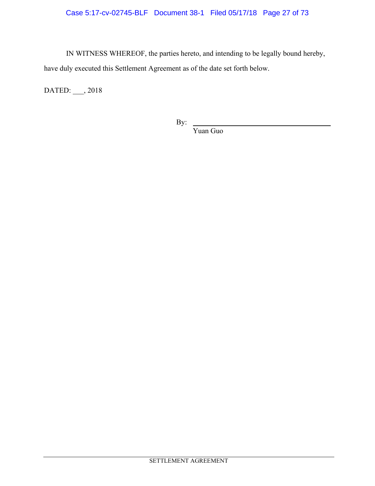IN WITNESS WHEREOF, the parties hereto, and intending to be legally bound hereby, have duly executed this Settlement Agreement as of the date set forth below.

DATED: \_\_\_, 2018

By:

Yuan Guo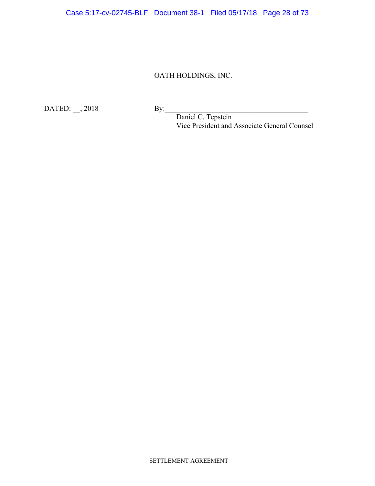# OATH HOLDINGS, INC.

DATED: \_\_, 2018 By:\_\_\_\_\_\_\_\_\_\_\_\_\_\_\_\_\_\_\_\_\_\_\_\_\_\_\_\_\_\_\_\_\_\_\_\_\_\_\_

Daniel C. Tepstein Vice President and Associate General Counsel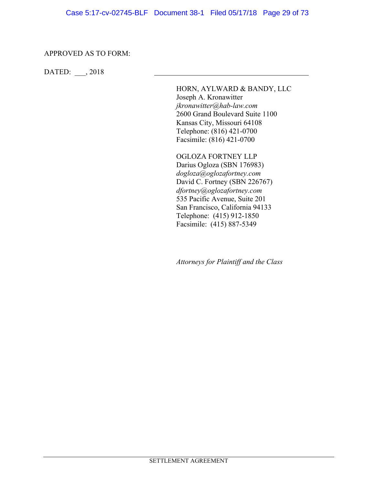#### APPROVED AS TO FORM:

DATED: \_\_\_, 2018

HORN, AYLWARD & BANDY, LLC Joseph A. Kronawitter *jkronawitter@hab-law.com* 2600 Grand Boulevard Suite 1100 Kansas City, Missouri 64108 Telephone: (816) 421-0700 Facsimile: (816) 421-0700

OGLOZA FORTNEY LLP Darius Ogloza (SBN 176983) *dogloza@oglozafortney.com*  David C. Fortney (SBN 226767) *dfortney@oglozafortney.com*  535 Pacific Avenue, Suite 201 San Francisco, California 94133 Telephone: (415) 912-1850 Facsimile: (415) 887-5349

*Attorneys for Plaintiff and the Class*